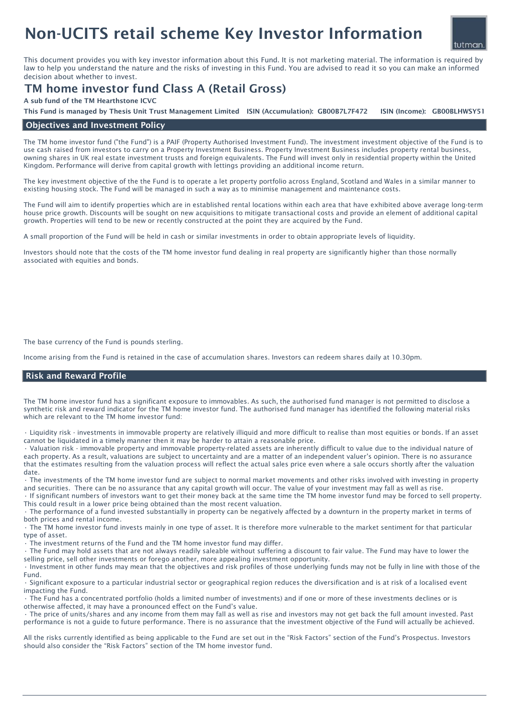# Non-UCITS retail scheme Key Investor Information

This document provides you with key investor information about this Fund. It is not marketing material. The information is required by law to help you understand the nature and the risks of investing in this Fund. You are advised to read it so you can make an informed decision about whether to invest.

## TM home investor fund Class A (Retail Gross)

A sub fund of the TM Hearthstone ICVC

ISIN (Income): GB00BLHWSY51 This Fund is managed by Thesis Unit Trust Management Limited ISIN (Accumulation): GB00B7L7F472

### Objectives and Investment Policy

The TM home investor fund ("the Fund") is a PAIF (Property Authorised Investment Fund). The investment investment objective of the Fund is to use cash raised from investors to carry on a Property Investment Business. Property Investment Business includes property rental business, owning shares in UK real estate investment trusts and foreign equivalents. The Fund will invest only in residential property within the United Kingdom. Performance will derive from capital growth with lettings providing an additional income return.

The key investment objective of the the Fund is to operate a let property portfolio across England, Scotland and Wales in a similar manner to existing housing stock. The Fund will be managed in such a way as to minimise management and maintenance costs.

The Fund will aim to identify properties which are in established rental locations within each area that have exhibited above average long-term house price growth. Discounts will be sought on new acquisitions to mitigate transactional costs and provide an element of additional capital growth. Properties will tend to be new or recently constructed at the point they are acquired by the Fund.

A small proportion of the Fund will be held in cash or similar investments in order to obtain appropriate levels of liquidity.

Investors should note that the costs of the TM home investor fund dealing in real property are significantly higher than those normally associated with equities and bonds.

The base currency of the Fund is pounds sterling.

Income arising from the Fund is retained in the case of accumulation shares. Investors can redeem shares daily at 10.30pm.

#### Risk and Reward Profile

The TM home investor fund has a significant exposure to immovables. As such, the authorised fund manager is not permitted to disclose a synthetic risk and reward indicator for the TM home investor fund. The authorised fund manager has identified the following material risks which are relevant to the TM home investor fund:

• Liquidity risk - investments in immovable property are relatively illiquid and more difficult to realise than most equities or bonds. If an asset cannot be liquidated in a timely manner then it may be harder to attain a reasonable price.

• Valuation risk - immovable property and immovable property-related assets are inherently difficult to value due to the individual nature of each property. As a result, valuations are subject to uncertainty and are a matter of an independent valuer's opinion. There is no assurance that the estimates resulting from the valuation process will reflect the actual sales price even where a sale occurs shortly after the valuation date.

• The investments of the TM home investor fund are subject to normal market movements and other risks involved with investing in property and securities. There can be no assurance that any capital growth will occur. The value of your investment may fall as well as rise.

• If significant numbers of investors want to get their money back at the same time the TM home investor fund may be forced to sell property. This could result in a lower price being obtained than the most recent valuation.

• The performance of a fund invested substantially in property can be negatively affected by a downturn in the property market in terms of both prices and rental income.

• The TM home investor fund invests mainly in one type of asset. It is therefore more vulnerable to the market sentiment for that particular type of asset.

The investment returns of the Fund and the TM home investor fund may differ.

• The Fund may hold assets that are not always readily saleable without suffering a discount to fair value. The Fund may have to lower the selling price, sell other investments or forego another, more appealing investment opportunity.

• Investment in other funds may mean that the objectives and risk profiles of those underlying funds may not be fully in line with those of the Fund.

• Significant exposure to a particular industrial sector or geographical region reduces the diversification and is at risk of a localised event impacting the Fund.

• The Fund has a concentrated portfolio (holds a limited number of investments) and if one or more of these investments declines or is otherwise affected, it may have a pronounced effect on the Fund's value.

• The price of units/shares and any income from them may fall as well as rise and investors may not get back the full amount invested. Past performance is not a guide to future performance. There is no assurance that the investment objective of the Fund will actually be achieved.

All the risks currently identified as being applicable to the Fund are set out in the "Risk Factors" section of the Fund's Prospectus. Investors should also consider the "Risk Factors" section of the TM home investor fund.